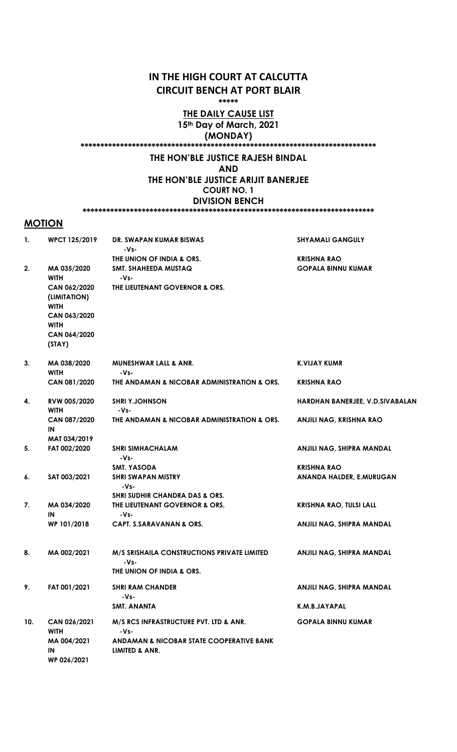# IN THE HIGH COURT AT CALCUTTA CIRCUIT BENCH AT PORT BLAIR

\*\*\*\*\*

### THE DAILY CAUSE LIST 15<sup>th</sup> Day of March, 2021

(MONDAY)

\*\*\*\*\*\*\*\*\*\*\*\*\*\*\*\*\*\*\*\*\*\*\*\*\*\*\*\*\*\*\*\*\*\*\*\*\*\*\*\*\*\*\*\*\*\*\*\*\*\*\*\*\*\*\*\*\*\*\*\*\*\*\*\*\*\*\*\*\*\*\*\*\*\*\*

## THE HON'BLE JUSTICE RAJESH BINDAL

AND

THE HON'BLE JUSTICE ARIJIT BANERJEE COURT NO. 1 DIVISION BENCH

#### \*\*\*\*\*\*\*\*\*\*\*\*\*\*\*\*\*\*\*\*\*\*\*\*\*\*\*\*\*\*\*\*\*\*\*\*\*\*\*\*\*\*\*\*\*\*\*\*\*\*\*\*\*\*\*\*\*\*\*\*\*\*\*\*\*\*\*\*\*\*\*\*\*\*

## **MOTION**

| 1.  | <b>WPCT 125/2019</b>                                                                                     | DR. SWAPAN KUMAR BISWAS<br>-Vs-                                                                                         | <b>SHYAMALI GANGULY</b>                         |
|-----|----------------------------------------------------------------------------------------------------------|-------------------------------------------------------------------------------------------------------------------------|-------------------------------------------------|
| 2.  | MA 035/2020<br><b>WITH</b><br>CAN 062/2020<br>(LIMITATION)<br><b>WITH</b><br>CAN 063/2020<br><b>WITH</b> | THE UNION OF INDIA & ORS.<br>SMT. SHAHEEDA MUSTAQ<br>-Vs-<br>THE LIEUTENANT GOVERNOR & ORS.                             | <b>KRISHNA RAO</b><br><b>GOPALA BINNU KUMAR</b> |
|     | CAN 064/2020<br>(STAY)                                                                                   |                                                                                                                         |                                                 |
| 3.  | MA 038/2020<br><b>WITH</b>                                                                               | <b>MUNESHWAR LALL &amp; ANR.</b><br>-Vs-                                                                                | K.VIJAY KUMR                                    |
|     | CAN 081/2020                                                                                             | THE ANDAMAN & NICOBAR ADMINISTRATION & ORS.                                                                             | <b>KRISHNA RAO</b>                              |
| 4.  | RVW 005/2020<br><b>WITH</b>                                                                              | <b>SHRI Y.JOHNSON</b><br>-Vs-                                                                                           | HARDHAN BANERJEE, V.D.SIVABALAN                 |
|     | CAN 087/2020<br>IN                                                                                       | THE ANDAMAN & NICOBAR ADMINISTRATION & ORS.                                                                             | ANJILI NAG, KRISHNA RAO                         |
| 5.  | MAT 034/2019<br>FAT 002/2020                                                                             | <b>SHRI SIMHACHALAM</b><br>-Vs-                                                                                         | ANJILI NAG, SHIPRA MANDAL                       |
| 6.  | SAT 003/2021                                                                                             | <b>SMT. YASODA</b><br><b>SHRI SWAPAN MISTRY</b><br>-Vs-                                                                 | <b>KRISHNA RAO</b><br>ANANDA HALDER, E.MURUGAN  |
| 7.  | MA 034/2020<br>IN                                                                                        | <b>SHRI SUDHIR CHANDRA DAS &amp; ORS.</b><br>THE LIEUTENANT GOVERNOR & ORS.<br>-Vs-                                     | <b>KRISHNA RAO, TULSI LALL</b>                  |
|     | WP 101/2018                                                                                              | <b>CAPT. S.SARAVANAN &amp; ORS.</b>                                                                                     | ANJILI NAG, SHIPRA MANDAL                       |
| 8.  | MA 002/2021                                                                                              | <b>M/S SRISHAILA CONSTRUCTIONS PRIVATE LIMITED</b><br>-Vs-<br>THE UNION OF INDIA & ORS.                                 | ANJILI NAG, SHIPRA MANDAL                       |
| 9.  | FAT 001/2021                                                                                             | <b>SHRI RAM CHANDER</b><br>-Vs-                                                                                         | ANJILI NAG, SHIPRA MANDAL                       |
|     |                                                                                                          | <b>SMT. ANANTA</b>                                                                                                      | K.M.B.JAYAPAL                                   |
| 10. | CAN 026/2021<br><b>WITH</b><br>MA 004/2021<br>IN                                                         | M/S RCS INFRASTRUCTURE PVT. LTD & ANR.<br>-Vs-<br><b>ANDAMAN &amp; NICOBAR STATE COOPERATIVE BANK</b><br>LIMITED & ANR. | <b>GOPALA BINNU KUMAR</b>                       |
|     | WP 026/2021                                                                                              |                                                                                                                         |                                                 |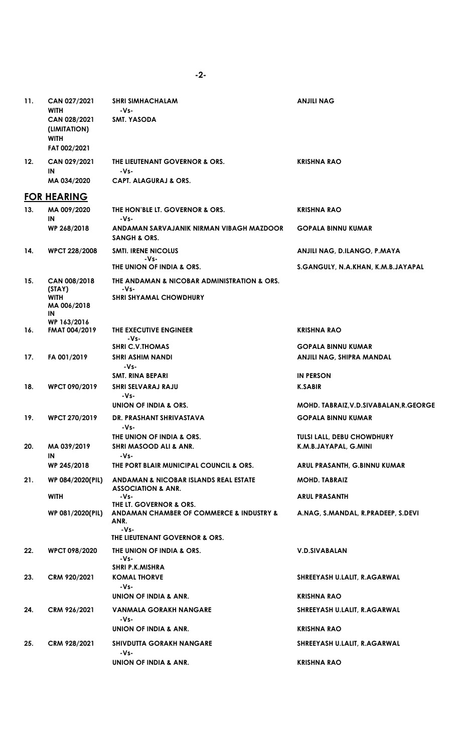| 11. | CAN 027/2021<br><b>WITH</b><br>CAN 028/2021<br>(LIMITATION)<br><b>WITH</b><br>FAT 002/2021 | <b>SHRI SIMHACHALAM</b><br>-Vs-<br>SMT. YASODA                                                                        | <b>ANJILI NAG</b>                                          |
|-----|--------------------------------------------------------------------------------------------|-----------------------------------------------------------------------------------------------------------------------|------------------------------------------------------------|
| 12. | CAN 029/2021<br>IN                                                                         | THE LIEUTENANT GOVERNOR & ORS.<br>-Vs-                                                                                | <b>KRISHNA RAO</b>                                         |
|     | MA 034/2020                                                                                | <b>CAPT. ALAGURAJ &amp; ORS.</b>                                                                                      |                                                            |
| 13. | <b>FOR HEARING</b><br>MA 009/2020<br>IN                                                    | THE HON'BLE LT. GOVERNOR & ORS.<br>-Vs-                                                                               | <b>KRISHNA RAO</b>                                         |
|     | WP 268/2018                                                                                | ANDAMAN SARVAJANIK NIRMAN VIBAGH MAZDOOR<br><b>SANGH &amp; ORS.</b>                                                   | <b>GOPALA BINNU KUMAR</b>                                  |
| 14. | <b>WPCT 228/2008</b>                                                                       | <b>SMTI. IRENE NICOLUS</b><br>-Vs-                                                                                    | ANJILI NAG, D.ILANGO, P.MAYA                               |
|     |                                                                                            | THE UNION OF INDIA & ORS.                                                                                             | S.GANGULY, N.A.KHAN, K.M.B.JAYAPAL                         |
| 15. | CAN 008/2018<br>(STAY)<br><b>WITH</b><br>MA 006/2018<br>IN<br>WP 163/2016                  | THE ANDAMAN & NICOBAR ADMINISTRATION & ORS.<br>-Vs-<br><b>SHRI SHYAMAL CHOWDHURY</b>                                  |                                                            |
| 16. | <b>FMAT 004/2019</b>                                                                       | THE EXECUTIVE ENGINEER<br>-Vs-                                                                                        | <b>KRISHNA RAO</b>                                         |
| 17. | FA 001/2019                                                                                | <b>SHRI C.V.THOMAS</b><br><b>SHRI ASHIM NANDI</b><br>-Vs-                                                             | <b>GOPALA BINNU KUMAR</b><br>ANJILI NAG, SHIPRA MANDAL     |
|     |                                                                                            | <b>SMT. RINA BEPARI</b>                                                                                               | <b>IN PERSON</b>                                           |
| 18. | <b>WPCT 090/2019</b>                                                                       | SHRI SELVARAJ RAJU<br>-Vs-                                                                                            | <b>K.SABIR</b>                                             |
|     |                                                                                            | UNION OF INDIA & ORS.                                                                                                 | MOHD. TABRAIZ, V.D.SIVABALAN, R.GEORGE                     |
| 19. | <b>WPCT 270/2019</b>                                                                       | DR. PRASHANT SHRIVASTAVA<br>-Vs-                                                                                      | <b>GOPALA BINNU KUMAR</b>                                  |
| 20. | MA 039/2019                                                                                | THE UNION OF INDIA & ORS.<br>SHRI MASOOD ALI & ANR.                                                                   | <b>TULSI LALL, DEBU CHOWDHURY</b><br>K.M.B.JAYAPAL, G.MINI |
|     | IN<br>WP 245/2018                                                                          | -Vs-<br>THE PORT BLAIR MUNICIPAL COUNCIL & ORS.                                                                       | ARUL PRASANTH, G.BINNU KUMAR                               |
| 21. | WP 084/2020(PIL)                                                                           | ANDAMAN & NICOBAR ISLANDS REAL ESTATE<br><b>ASSOCIATION &amp; ANR.</b>                                                | <b>MOHD. TABRAIZ</b>                                       |
|     | <b>WITH</b>                                                                                | -Vs-                                                                                                                  | <b>ARUL PRASANTH</b>                                       |
|     | WP 081/2020(PIL)                                                                           | THE LT. GOVERNOR & ORS.<br>ANDAMAN CHAMBER OF COMMERCE & INDUSTRY &<br>ANR.<br>-Vs-<br>THE LIEUTENANT GOVERNOR & ORS. | A.NAG, S.MANDAL, R.PRADEEP, S.DEVI                         |
| 22. | <b>WPCT 098/2020</b>                                                                       | THE UNION OF INDIA & ORS.<br>-Vs-                                                                                     | <b>V.D.SIVABALAN</b>                                       |
| 23. | CRM 920/2021                                                                               | <b>SHRI P.K.MISHRA</b><br><b>KOMAL THORVE</b><br>-Vs-                                                                 | SHREEYASH U.LALIT, R.AGARWAL                               |
|     |                                                                                            | UNION OF INDIA & ANR.                                                                                                 | <b>KRISHNA RAO</b>                                         |
| 24. | CRM 926/2021                                                                               | VANMALA GORAKH NANGARE<br>-Vs-                                                                                        | SHREEYASH U.LALIT, R.AGARWAL                               |
|     |                                                                                            | UNION OF INDIA & ANR.                                                                                                 | <b>KRISHNA RAO</b>                                         |
| 25. | CRM 928/2021                                                                               | <b>SHIVDUTTA GORAKH NANGARE</b><br>-Vs-                                                                               | SHREEYASH U.LALIT, R.AGARWAL                               |
|     |                                                                                            | UNION OF INDIA & ANR.                                                                                                 | <b>KRISHNA RAO</b>                                         |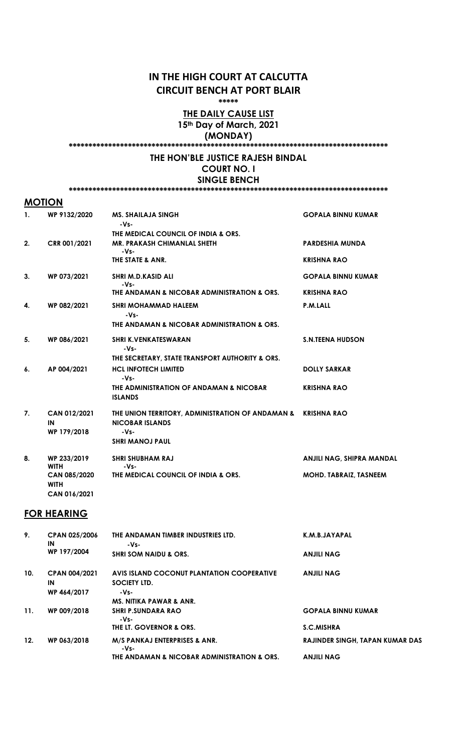# IN THE HIGH COURT AT CALCUTTA CIRCUIT BENCH AT PORT BLAIR

\*\*\*\*\*

### THE DAILY CAUSE LIST 15<sup>th</sup> Day of March, 2021

(MONDAY)

#### \*\*\*\*\*\*\*\*\*\*\*\*\*\*\*\*\*\*\*\*\*\*\*\*\*\*\*\*\*\*\*\*\*\*\*\*\*\*\*\*\*\*\*\*\*\*\*\*\*\*\*\*\*\*\*\*\*\*\*\*\*\*\*\*\*\*\*\*\*\*\*\*\*\*\*\*\*\*\*\*\*

### THE HON'BLE JUSTICE RAJESH BINDAL COURT NO. I SINGLE BENCH

\*\*\*\*\*\*\*\*\*\*\*\*\*\*\*\*\*\*\*\*\*\*\*\*\*\*\*\*\*\*\*\*\*\*\*\*\*\*\*\*\*\*\*\*\*\*\*\*\*\*\*\*\*\*\*\*\*\*\*\*\*\*\*\*\*\*\*\*\*\*\*\*\*\*\*\*\*\*\*\*\*

## **MOTION**

| 1. | WP 9132/2020                | <b>MS. SHAILAJA SINGH</b><br>$-Vs-$                                                    | <b>GOPALA BINNU KUMAR</b>     |
|----|-----------------------------|----------------------------------------------------------------------------------------|-------------------------------|
|    |                             | THE MEDICAL COUNCIL OF INDIA & ORS.                                                    |                               |
| 2. | CRR 001/2021                | <b>MR. PRAKASH CHIMANLAL SHETH</b><br>$-Vs-$                                           | <b>PARDESHIA MUNDA</b>        |
|    |                             | THE STATE & ANR.                                                                       | <b>KRISHNA RAO</b>            |
| 3. | WP 073/2021                 | SHRI M.D.KASID ALI<br>-Vs-                                                             | <b>GOPALA BINNU KUMAR</b>     |
|    |                             | THE ANDAMAN & NICOBAR ADMINISTRATION & ORS.                                            | <b>KRISHNA RAO</b>            |
| 4. | WP 082/2021                 | <b>SHRI MOHAMMAD HALEEM</b><br>$-Vs-$                                                  | P.M.LALL                      |
|    |                             | THE ANDAMAN & NICOBAR ADMINISTRATION & ORS.                                            |                               |
| 5. | WP 086/2021                 | <b>SHRI K.VENKATESWARAN</b><br>-Vs-                                                    | <b>S.N.TEENA HUDSON</b>       |
|    |                             | THE SECRETARY, STATE TRANSPORT AUTHORITY & ORS.                                        |                               |
| 6. | AP 004/2021                 | <b>HCL INFOTECH LIMITED</b><br>-Vs-                                                    | <b>DOLLY SARKAR</b>           |
|    |                             | THE ADMINISTRATION OF ANDAMAN & NICOBAR<br><b>ISLANDS</b>                              | <b>KRISHNA RAO</b>            |
| 7. | <b>CAN 012/2021</b><br>IN   | THE UNION TERRITORY, ADMINISTRATION OF ANDAMAN & KRISHNA RAO<br><b>NICOBAR ISLANDS</b> |                               |
|    | WP 179/2018                 | -Vs-                                                                                   |                               |
|    |                             | <b>SHRI MANOJ PAUL</b>                                                                 |                               |
| 8. | WP 233/2019<br><b>WITH</b>  | <b>SHRI SHUBHAM RAJ</b><br>-Vs-                                                        | ANJILI NAG, SHIPRA MANDAL     |
|    | CAN 085/2020<br><b>WITH</b> | THE MEDICAL COUNCIL OF INDIA & ORS.                                                    | <b>MOHD. TABRAIZ, TASNEEM</b> |
|    | CAN 016/2021                |                                                                                        |                               |

# FOR HEARING

| 9.  | CPAN 025/2006<br>IN        | THE ANDAMAN TIMBER INDUSTRIES LTD.<br>-Vs-                 | K.M.B.JAYAPAL                          |
|-----|----------------------------|------------------------------------------------------------|----------------------------------------|
|     | WP 197/2004                | <b>SHRI SOM NAIDU &amp; ORS.</b>                           | <b>ANJILI NAG</b>                      |
| 10. | <b>CPAN 004/2021</b><br>IN | AVIS ISLAND COCONUT PLANTATION COOPERATIVE<br>SOCIETY LTD. | <b>ANJILI NAG</b>                      |
|     | WP 464/2017                | -Vs-<br><b>MS. NITIKA PAWAR &amp; ANR.</b>                 |                                        |
| 11. | WP 009/2018                | <b>SHRI P.SUNDARA RAO</b><br>-Vs-                          | <b>GOPALA BINNU KUMAR</b>              |
|     |                            | THE LT. GOVERNOR & ORS.                                    | <b>S.C.MISHRA</b>                      |
| 12. | WP 063/2018                | M/S PANKAJ ENTERPRISES & ANR.<br>-Vs-                      | <b>RAJINDER SINGH, TAPAN KUMAR DAS</b> |
|     |                            | THE ANDAMAN & NICOBAR ADMINISTRATION & ORS.                | <b>ANJILI NAG</b>                      |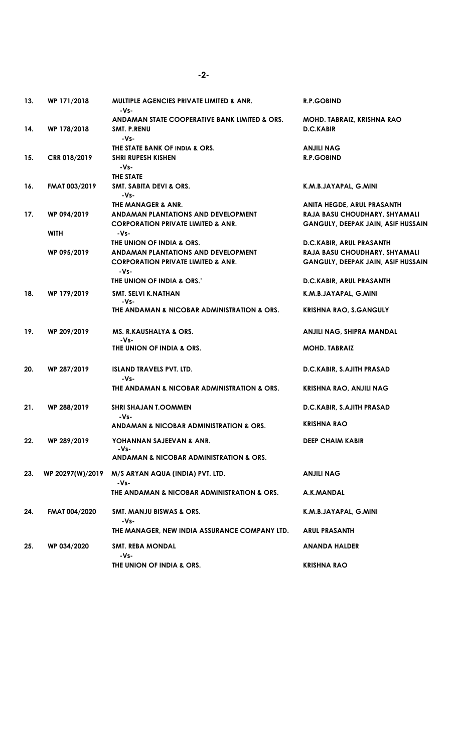| 13. | WP 171/2018      | <b>MULTIPLE AGENCIES PRIVATE LIMITED &amp; ANR.</b><br>-Vs-                                  | <b>R.P.GOBIND</b>                                                          |
|-----|------------------|----------------------------------------------------------------------------------------------|----------------------------------------------------------------------------|
|     |                  | ANDAMAN STATE COOPERATIVE BANK LIMITED & ORS.                                                | MOHD. TABRAIZ, KRISHNA RAO                                                 |
| 14. | WP 178/2018      | SMT. P.RENU<br>-Vs-                                                                          | <b>D.C.KABIR</b>                                                           |
|     |                  | THE STATE BANK OF INDIA & ORS.                                                               | <b>ANJILI NAG</b>                                                          |
| 15. | CRR 018/2019     | <b>SHRI RUPESH KISHEN</b><br>$-Vs-$                                                          | <b>R.P.GOBIND</b>                                                          |
|     |                  | THE STATE                                                                                    |                                                                            |
| 16. | FMAT 003/2019    | SMT. SABITA DEVI & ORS.<br>-Vs-                                                              | K.M.B.JAYAPAL, G.MINI                                                      |
|     |                  | THE MANAGER & ANR.                                                                           | ANITA HEGDE, ARUL PRASANTH                                                 |
| 17. | WP 094/2019      | ANDAMAN PLANTATIONS AND DEVELOPMENT<br><b>CORPORATION PRIVATE LIMITED &amp; ANR.</b>         | RAJA BASU CHOUDHARY, SHYAMALI<br><b>GANGULY, DEEPAK JAIN, ASIF HUSSAIN</b> |
|     | <b>WITH</b>      | -Vs-                                                                                         |                                                                            |
|     |                  | THE UNION OF INDIA & ORS.                                                                    | D.C.KABIR, ARUL PRASANTH                                                   |
|     | WP 095/2019      | ANDAMAN PLANTATIONS AND DEVELOPMENT<br><b>CORPORATION PRIVATE LIMITED &amp; ANR.</b><br>-Vs- | RAJA BASU CHOUDHARY, SHYAMALI<br><b>GANGULY, DEEPAK JAIN, ASIF HUSSAIN</b> |
|     |                  | THE UNION OF INDIA & ORS.'                                                                   | D.C.KABIR, ARUL PRASANTH                                                   |
| 18. | WP 179/2019      | SMT. SELVI K.NATHAN<br>-Vs-                                                                  | K.M.B.JAYAPAL, G.MINI                                                      |
|     |                  | THE ANDAMAN & NICOBAR ADMINISTRATION & ORS.                                                  | <b>KRISHNA RAO, S.GANGULY</b>                                              |
| 19. | WP 209/2019      | MS. R.KAUSHALYA & ORS.<br>-Vs-                                                               | ANJILI NAG, SHIPRA MANDAL                                                  |
|     |                  | THE UNION OF INDIA & ORS.                                                                    | <b>MOHD. TABRAIZ</b>                                                       |
| 20. | WP 287/2019      | <b>ISLAND TRAVELS PVT. LTD.</b><br>-Vs-                                                      | D.C.KABIR, S.AJITH PRASAD                                                  |
|     |                  | THE ANDAMAN & NICOBAR ADMINISTRATION & ORS.                                                  | <b>KRISHNA RAO, ANJILI NAG</b>                                             |
| 21. | WP 288/2019      | <b>SHRI SHAJAN T.OOMMEN</b><br>-Vs-                                                          | D.C.KABIR, S.AJITH PRASAD                                                  |
|     |                  | ANDAMAN & NICOBAR ADMINISTRATION & ORS.                                                      | KRISHNA RAO                                                                |
| 22. | WP 289/2019      | YOHANNAN SAJEEVAN & ANR.<br>-Vs-                                                             | <b>DEEP CHAIM KABIR</b>                                                    |
|     |                  | ANDAMAN & NICOBAR ADMINISTRATION & ORS.                                                      |                                                                            |
| 23. | WP 20297(W)/2019 | M/S ARYAN AQUA (INDIA) PVT. LTD.<br>-Vs-                                                     | <b>ANJILI NAG</b>                                                          |
|     |                  | THE ANDAMAN & NICOBAR ADMINISTRATION & ORS.                                                  | A.K.MANDAL                                                                 |
| 24. | FMAT 004/2020    | <b>SMT. MANJU BISWAS &amp; ORS.</b><br>-Vs-                                                  | K.M.B.JAYAPAL, G.MINI                                                      |
|     |                  | THE MANAGER, NEW INDIA ASSURANCE COMPANY LTD.                                                | <b>ARUL PRASANTH</b>                                                       |
| 25. | WP 034/2020      | <b>SMT. REBA MONDAL</b><br>-Vs-                                                              | <b>ANANDA HALDER</b>                                                       |
|     |                  | THE UNION OF INDIA & ORS.                                                                    | <b>KRISHNA RAO</b>                                                         |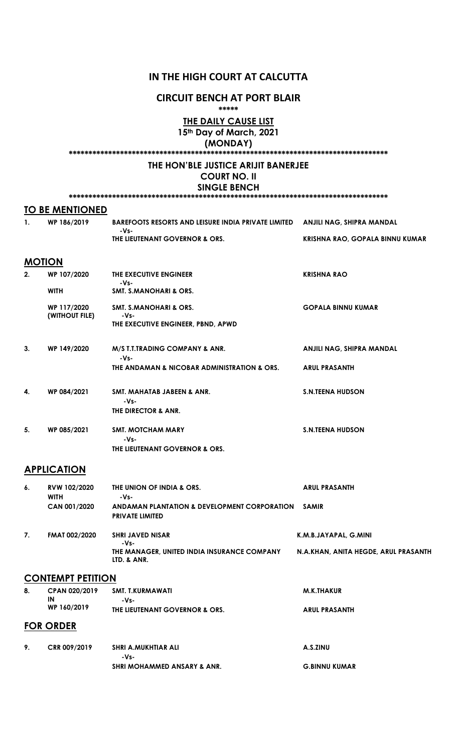## IN THE HIGH COURT AT CALCUTTA

#### CIRCUIT BENCH AT PORT BLAIR \*\*\*\*\*

THE DAILY CAUSE LIST

15<sup>th</sup> Day of March, 2021 (MONDAY)

\*\*\*\*\*\*\*\*\*\*\*\*\*\*\*\*\*\*\*\*\*\*\*\*\*\*\*\*\*\*\*\*\*\*\*\*\*\*\*\*\*\*\*\*\*\*\*\*\*\*\*\*\*\*\*\*\*\*\*\*\*\*\*\*\*\*\*\*\*\*\*\*\*\*\*\*\*\*\*\*\*

## THE HON'BLE JUSTICE ARIJIT BANERJEE

# COURT NO. II

SINGLE BENCH \*\*\*\*\*\*\*\*\*\*\*\*\*\*\*\*\*\*\*\*\*\*\*\*\*\*\*\*\*\*\*\*\*\*\*\*\*\*\*\*\*\*\*\*\*\*\*\*\*\*\*\*\*\*\*\*\*\*\*\*\*\*\*\*\*\*\*\*\*\*\*\*\*\*\*\*\*\*\*\*\*

|                | <b>TO BE MENTIONED</b>        |                                                                                 |                                 |
|----------------|-------------------------------|---------------------------------------------------------------------------------|---------------------------------|
| $\mathbf{1}$ . | WP 186/2019                   | <b>BAREFOOTS RESORTS AND LEISURE INDIA PRIVATE LIMITED</b><br>-Vs-              | ANJILI NAG, SHIPRA MANDAL       |
|                |                               | THE LIEUTENANT GOVERNOR & ORS.                                                  | KRISHNA RAO, GOPALA BINNU KUMAR |
|                | <b>MOTION</b>                 |                                                                                 |                                 |
| 2.             | WP 107/2020                   | THE EXECUTIVE ENGINEER<br>-Vs-                                                  | <b>KRISHNA RAO</b>              |
|                | <b>WITH</b>                   | <b>SMT. S.MANOHARI &amp; ORS.</b>                                               |                                 |
|                | WP 117/2020<br>(WITHOUT FILE) | <b>SMT. S.MANOHARI &amp; ORS.</b><br>-Vs-<br>THE EXECUTIVE ENGINEER, PBND, APWD | <b>GOPALA BINNU KUMAR</b>       |
| 3.             | WP 149/2020                   | M/S T.T.TRADING COMPANY & ANR.<br>$-Vs-$                                        | ANJILI NAG, SHIPRA MANDAL       |
|                |                               | THE ANDAMAN & NICOBAR ADMINISTRATION & ORS.                                     | <b>ARUL PRASANTH</b>            |
| 4.             | WP 084/2021                   | SMT. MAHATAB JABEEN & ANR.<br>-Vs-<br>THE DIRECTOR & ANR.                       | <b>S.N.TEENA HUDSON</b>         |
| 5.             | WP 085/2021                   | <b>SMT. MOTCHAM MARY</b><br>$-Vs-$<br>THE LIEUTENANT GOVERNOR & ORS.            | <b>S.N.TEENA HUDSON</b>         |
|                | <b>APPLICATION</b>            |                                                                                 |                                 |
| 6.             | RVW 102/2020<br><b>WITH</b>   | THE UNION OF INDIA & ORS.<br>-Vs-                                               | <b>ARUL PRASANTH</b>            |

| о. | NY IVZZZUZU<br><b>WITH</b> | THE UNIVIN OF INDIA & ONS.<br>-Vs-                         | <b>ANUL ENASANIN</b>                 |
|----|----------------------------|------------------------------------------------------------|--------------------------------------|
|    | CAN 001/2020               | ANDAMAN PLANTATION & DEVELOPMENT CORPORATION               | <b>SAMIR</b>                         |
|    |                            | <b>PRIVATE LIMITED</b>                                     |                                      |
| 7. | <b>FMAT 002/2020</b>       | <b>SHRI JAVED NISAR</b><br>-Vs-                            | K.M.B.JAYAPAL, G.MINI                |
|    |                            | THE MANAGER, UNITED INDIA INSURANCE COMPANY<br>LTD. & ANR. | N.A.KHAN, ANITA HEGDE, ARUL PRASANTH |
|    | <b>CONTEMPT PETITION</b>   |                                                            |                                      |
| 8. | CPAN 020/2019              | <b>SMT. T.KURMAWATI</b>                                    | <b>M.K.THAKUR</b>                    |
|    | IN                         | -Vs-                                                       |                                      |

|    | WP 160/2019      | THE LIEUTENANT GOVERNOR & ORS. | <b>ARUL PRASANTH</b> |
|----|------------------|--------------------------------|----------------------|
|    | <b>FOR ORDER</b> |                                |                      |
| 9. | CRR 009/2019     | SHRI A.MUKHTIAR ALI<br>-Vs-    | A.S.ZINU             |
|    |                  | SHRI MOHAMMED ANSARY & ANR.    | <b>G.BINNU KUMAR</b> |